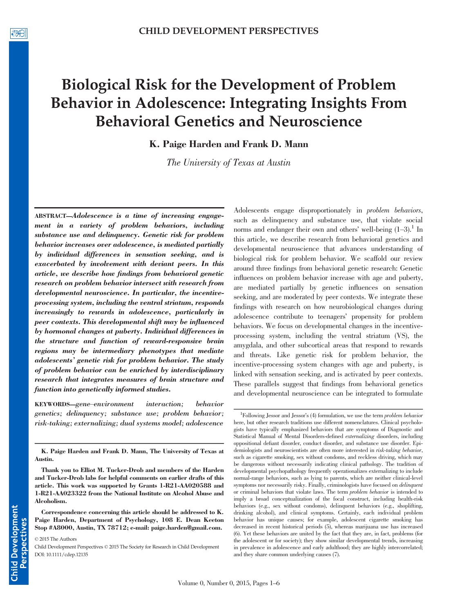# Biological Risk for the Development of Problem Behavior in Adolescence: Integrating Insights From Behavioral Genetics and Neuroscience

K. Paige Harden and Frank D. Mann

The University of Texas at Austin

ABSTRACT—Adolescence is a time of increasing engagement in a variety of problem behaviors, including substance use and delinquency. Genetic risk for problem behavior increases over adolescence, is mediated partially by individual differences in sensation seeking, and is exacerbated by involvement with deviant peers. In this article, we describe how findings from behavioral genetic research on problem behavior intersect with research from developmental neuroscience. In particular, the incentiveprocessing system, including the ventral striatum, responds increasingly to rewards in adolescence, particularly in peer contexts. This developmental shift may be influenced by hormonal changes at puberty. Individual differences in the structure and function of reward-responsive brain regions may be intermediary phenotypes that mediate adolescents' genetic risk for problem behavior. The study of problem behavior can be enriched by interdisciplinary research that integrates measures of brain structure and function into genetically informed studies.

KEYWORDS—gene–environment interaction; behavior genetics; delinquency; substance use; problem behavior; risk-taking; externalizing; dual systems model; adolescence

K. Paige Harden and Frank D. Mann, The University of Texas at Austin.

Correspondence concerning this article should be addressed to K. Paige Harden, Department of Psychology, 108 E. Dean Keeton Stop #A8000, Austin, TX 78712; e-mail: paige.harden@gmail.com.

© 2015 The Authors

Adolescents engage disproportionately in problem behaviors, such as delinquency and substance use, that violate social norms and endanger their own and others' well-being  $(1-3)$ .<sup>1</sup> In this article, we describe research from behavioral genetics and developmental neuroscience that advances understanding of biological risk for problem behavior. We scaffold our review around three findings from behavioral genetic research: Genetic influences on problem behavior increase with age and puberty, are mediated partially by genetic influences on sensation seeking, and are moderated by peer contexts. We integrate these findings with research on how neurobiological changes during adolescence contribute to teenagers' propensity for problem behaviors. We focus on developmental changes in the incentiveprocessing system, including the ventral striatum (VS), the amygdala, and other subcortical areas that respond to rewards and threats. Like genetic risk for problem behavior, the incentive-processing system changes with age and puberty, is linked with sensation seeking, and is activated by peer contexts. These parallels suggest that findings from behavioral genetics and developmental neuroscience can be integrated to formulate

Thank you to Elliot M. Tucker-Drob and members of the Harden and Tucker-Drob labs for helpful comments on earlier drafts of this article. This work was supported by Grants 1-R21-AA020588 and 1-R21-AA023322 from the National Institute on Alcohol Abuse and Alcoholism.

Child Development Perspectives © 2015 The Society for Research in Child Development DOI: 10.1111/cdep.12135

<sup>&</sup>lt;sup>1</sup>Following Jessor and Jessor's (4) formulation, we use the term *problem behavior* here, but other research traditions use different nomenclatures. Clinical psychologists have typically emphasized behaviors that are symptoms of Diagnostic and Statistical Manual of Mental Disorders-defined externalizing disorders, including oppositional defiant disorder, conduct disorder, and substance use disorder. Epidemiologists and neuroscientists are often more interested in *risk-taking behavior*, such as cigarette smoking, sex without condoms, and reckless driving, which may be dangerous without necessarily indicating clinical pathology. The tradition of developmental psychopathology frequently operationalizes externalizing to include normal-range behaviors, such as lying to parents, which are neither clinical-level symptoms nor necessarily risky. Finally, criminologists have focused on delinquent or criminal behaviors that violate laws. The term problem behavior is intended to imply a broad conceptualization of the focal construct, including health-risk behaviors (e.g., sex without condoms), delinquent behaviors (e.g., shoplifting, drinking alcohol), and clinical symptoms. Certainly, each individual problem behavior has unique causes; for example, adolescent cigarette smoking has decreased in recent historical periods (5), whereas marijuana use has increased (6). Yet these behaviors are united by the fact that they are, in fact, problems (for the adolescent or for society); they show similar developmental trends, increasing in prevalence in adolescence and early adulthood; they are highly intercorrelated; and they share common underlying causes (7).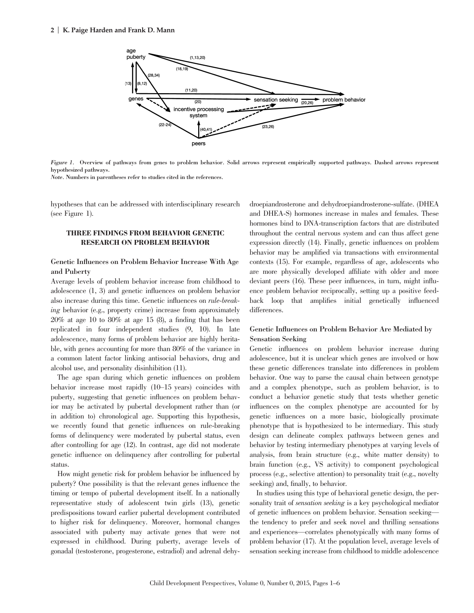

Figure 1. Overview of pathways from genes to problem behavior. Solid arrows represent empirically supported pathways. Dashed arrows represent hypothesized pathways.

Note. Numbers in parentheses refer to studies cited in the references.

hypotheses that can be addressed with interdisciplinary research (see Figure 1).

### THREE FINDINGS FROM BEHAVIOR GENETIC RESEARCH ON PROBLEM BEHAVIOR

## Genetic Influences on Problem Behavior Increase With Age and Puberty

Average levels of problem behavior increase from childhood to adolescence (1, 3) and genetic influences on problem behavior also increase during this time. Genetic influences on rule-breaking behavior (e.g., property crime) increase from approximately  $20\%$  at age 10 to  $80\%$  at age 15 (8), a finding that has been replicated in four independent studies (9, 10). In late adolescence, many forms of problem behavior are highly heritable, with genes accounting for more than 80% of the variance in a common latent factor linking antisocial behaviors, drug and alcohol use, and personality disinhibition (11).

The age span during which genetic influences on problem behavior increase most rapidly (10–15 years) coincides with puberty, suggesting that genetic influences on problem behavior may be activated by pubertal development rather than (or in addition to) chronological age. Supporting this hypothesis, we recently found that genetic influences on rule-breaking forms of delinquency were moderated by pubertal status, even after controlling for age (12). In contrast, age did not moderate genetic influence on delinquency after controlling for pubertal status.

How might genetic risk for problem behavior be influenced by puberty? One possibility is that the relevant genes influence the timing or tempo of pubertal development itself. In a nationally representative study of adolescent twin girls (13), genetic predispositions toward earlier pubertal development contributed to higher risk for delinquency. Moreover, hormonal changes associated with puberty may activate genes that were not expressed in childhood. During puberty, average levels of gonadal (testosterone, progesterone, estradiol) and adrenal dehydroepiandrosterone and dehydroepiandrosterone-sulfate. (DHEA and DHEA-S) hormones increase in males and females. These hormones bind to DNA-transcription factors that are distributed throughout the central nervous system and can thus affect gene expression directly (14). Finally, genetic influences on problem behavior may be amplified via transactions with environmental contexts (15). For example, regardless of age, adolescents who are more physically developed affiliate with older and more deviant peers (16). These peer influences, in turn, might influence problem behavior reciprocally, setting up a positive feedback loop that amplifies initial genetically influenced differences.

## Genetic Influences on Problem Behavior Are Mediated by Sensation Seeking

Genetic influences on problem behavior increase during adolescence, but it is unclear which genes are involved or how these genetic differences translate into differences in problem behavior. One way to parse the causal chain between genotype and a complex phenotype, such as problem behavior, is to conduct a behavior genetic study that tests whether genetic influences on the complex phenotype are accounted for by genetic influences on a more basic, biologically proximate phenotype that is hypothesized to be intermediary. This study design can delineate complex pathways between genes and behavior by testing intermediary phenotypes at varying levels of analysis, from brain structure (e.g., white matter density) to brain function (e.g., VS activity) to component psychological process (e.g., selective attention) to personality trait (e.g., novelty seeking) and, finally, to behavior.

In studies using this type of behavioral genetic design, the personality trait of *sensation seeking* is a key psychological mediator of genetic influences on problem behavior. Sensation seeking the tendency to prefer and seek novel and thrilling sensations and experiences—correlates phenotypically with many forms of problem behavior (17). At the population level, average levels of sensation seeking increase from childhood to middle adolescence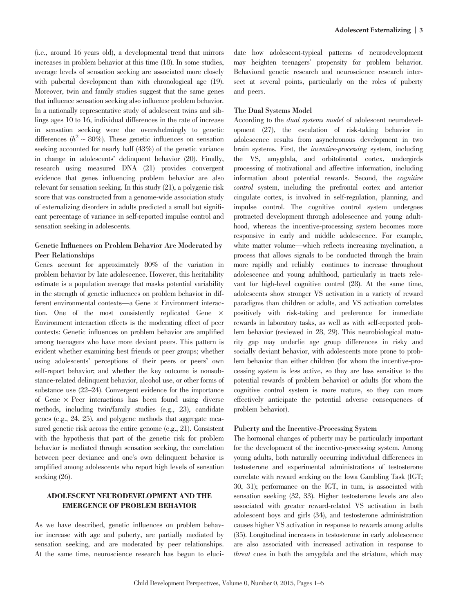(i.e., around 16 years old), a developmental trend that mirrors increases in problem behavior at this time (18). In some studies, average levels of sensation seeking are associated more closely with pubertal development than with chronological age  $(19)$ . Moreover, twin and family studies suggest that the same genes that influence sensation seeking also influence problem behavior. In a nationally representative study of adolescent twins and siblings ages 10 to 16, individual differences in the rate of increase in sensation seeking were due overwhelmingly to genetic differences ( $h^2 \sim 80\%$ ). These genetic influences on sensation seeking accounted for nearly half (43%) of the genetic variance in change in adolescents' delinquent behavior (20). Finally, research using measured DNA (21) provides convergent evidence that genes influencing problem behavior are also relevant for sensation seeking. In this study (21), a polygenic risk score that was constructed from a genome-wide association study of externalizing disorders in adults predicted a small but significant percentage of variance in self-reported impulse control and sensation seeking in adolescents.

## Genetic Influences on Problem Behavior Are Moderated by Peer Relationships

Genes account for approximately 80% of the variation in problem behavior by late adolescence. However, this heritability estimate is a population average that masks potential variability in the strength of genetic influences on problem behavior in different environmental contexts—a Gene  $\times$  Environment interaction. One of the most consistently replicated Gene  $\times$ Environment interaction effects is the moderating effect of peer contexts: Genetic influences on problem behavior are amplified among teenagers who have more deviant peers. This pattern is evident whether examining best friends or peer groups; whether using adolescents' perceptions of their peers or peers' own self-report behavior; and whether the key outcome is nonsubstance-related delinquent behavior, alcohol use, or other forms of substance use (22–24). Convergent evidence for the importance of Gene  $\times$  Peer interactions has been found using diverse methods, including twin/family studies (e.g., 23), candidate genes (e.g., 24, 25), and polygene methods that aggregate measured genetic risk across the entire genome (e.g., 21). Consistent with the hypothesis that part of the genetic risk for problem behavior is mediated through sensation seeking, the correlation between peer deviance and one's own delinquent behavior is amplified among adolescents who report high levels of sensation seeking (26).

#### ADOLESCENT NEURODEVELOPMENT AND THE EMERGENCE OF PROBLEM BEHAVIOR

As we have described, genetic influences on problem behavior increase with age and puberty, are partially mediated by sensation seeking, and are moderated by peer relationships. At the same time, neuroscience research has begun to elucidate how adolescent-typical patterns of neurodevelopment may heighten teenagers' propensity for problem behavior. Behavioral genetic research and neuroscience research intersect at several points, particularly on the roles of puberty and peers.

#### The Dual Systems Model

According to the dual systems model of adolescent neurodevelopment (27), the escalation of risk-taking behavior in adolescence results from asynchronous development in two brain systems. First, the incentive-processing system, including the VS, amygdala, and orbitofrontal cortex, undergirds processing of motivational and affective information, including information about potential rewards. Second, the cognitive control system, including the prefrontal cortex and anterior cingulate cortex, is involved in self-regulation, planning, and impulse control. The cognitive control system undergoes protracted development through adolescence and young adulthood, whereas the incentive-processing system becomes more responsive in early and middle adolescence. For example, white matter volume—which reflects increasing myelination, a process that allows signals to be conducted through the brain more rapidly and reliably—continues to increase throughout adolescence and young adulthood, particularly in tracts relevant for high-level cognitive control (28). At the same time, adolescents show stronger VS activation in a variety of reward paradigms than children or adults, and VS activation correlates positively with risk-taking and preference for immediate rewards in laboratory tasks, as well as with self-reported problem behavior (reviewed in 28, 29). This neurobiological maturity gap may underlie age group differences in risky and socially deviant behavior, with adolescents more prone to problem behavior than either children (for whom the incentive-processing system is less active, so they are less sensitive to the potential rewards of problem behavior) or adults (for whom the cognitive control system is more mature, so they can more effectively anticipate the potential adverse consequences of problem behavior).

#### Puberty and the Incentive-Processing System

The hormonal changes of puberty may be particularly important for the development of the incentive-processing system. Among young adults, both naturally occurring individual differences in testosterone and experimental administrations of testosterone correlate with reward seeking on the Iowa Gambling Task (IGT; 30, 31); performance on the IGT, in turn, is associated with sensation seeking (32, 33). Higher testosterone levels are also associated with greater reward-related VS activation in both adolescent boys and girls (34), and testosterone administration causes higher VS activation in response to rewards among adults (35). Longitudinal increases in testosterone in early adolescence are also associated with increased activation in response to threat cues in both the amygdala and the striatum, which may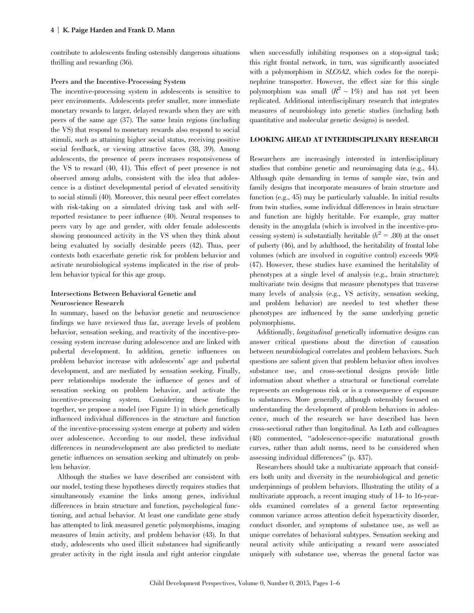contribute to adolescents finding ostensibly dangerous situations thrilling and rewarding (36).

#### Peers and the Incentive-Processing System

The incentive-processing system in adolescents is sensitive to peer environments. Adolescents prefer smaller, more immediate monetary rewards to larger, delayed rewards when they are with peers of the same age (37). The same brain regions (including the VS) that respond to monetary rewards also respond to social stimuli, such as attaining higher social status, receiving positive social feedback, or viewing attractive faces (38, 39). Among adolescents, the presence of peers increases responsiveness of the VS to reward (40, 41). This effect of peer presence is not observed among adults, consistent with the idea that adolescence is a distinct developmental period of elevated sensitivity to social stimuli (40). Moreover, this neural peer effect correlates with risk-taking on a simulated driving task and with selfreported resistance to peer influence (40). Neural responses to peers vary by age and gender, with older female adolescents showing pronounced activity in the VS when they think about being evaluated by socially desirable peers (42). Thus, peer contexts both exacerbate genetic risk for problem behavior and activate neurobiological systems implicated in the rise of problem behavior typical for this age group.

## Intersections Between Behavioral Genetic and

#### Neuroscience Research

In summary, based on the behavior genetic and neuroscience findings we have reviewed thus far, average levels of problem behavior, sensation seeking, and reactivity of the incentive-processing system increase during adolescence and are linked with pubertal development. In addition, genetic influences on problem behavior increase with adolescents' age and pubertal development, and are mediated by sensation seeking. Finally, peer relationships moderate the influence of genes and of sensation seeking on problem behavior, and activate the incentive-processing system. Considering these findings together, we propose a model (see Figure 1) in which genetically influenced individual differences in the structure and function of the incentive-processing system emerge at puberty and widen over adolescence. According to our model, these individual differences in neurodevelopment are also predicted to mediate genetic influences on sensation seeking and ultimately on problem behavior.

Although the studies we have described are consistent with our model, testing these hypotheses directly requires studies that simultaneously examine the links among genes, individual differences in brain structure and function, psychological functioning, and actual behavior. At least one candidate gene study has attempted to link measured genetic polymorphisms, imaging measures of brain activity, and problem behavior (43). In that study, adolescents who used illicit substances had significantly greater activity in the right insula and right anterior cingulate when successfully inhibiting responses on a stop-signal task; this right frontal network, in turn, was significantly associated with a polymorphism in SLC6A2, which codes for the norepinephrine transporter. However, the effect size for this single polymorphism was small  $(R^2 \sim 1\%)$  and has not yet been replicated. Additional interdisciplinary research that integrates measures of neurobiology into genetic studies (including both quantitative and molecular genetic designs) is needed.

#### LOOKING AHEAD AT INTERDISCIPLINARY RESEARCH

Researchers are increasingly interested in interdisciplinary studies that combine genetic and neuroimaging data (e.g., 44). Although quite demanding in terms of sample size, twin and family designs that incorporate measures of brain structure and function (e.g., 45) may be particularly valuable. In initial results from twin studies, some individual differences in brain structure and function are highly heritable. For example, gray matter density in the amygdala (which is involved in the incentive-processing system) is substantially heritable  $(h^2 = .80)$  at the onset of puberty (46), and by adulthood, the heritability of frontal lobe volumes (which are involved in cognitive control) exceeds 90% (47). However, these studies have examined the heritability of phenotypes at a single level of analysis (e.g., brain structure); multivariate twin designs that measure phenotypes that traverse many levels of analysis (e.g., VS activity, sensation seeking, and problem behavior) are needed to test whether these phenotypes are influenced by the same underlying genetic polymorphisms.

Additionally, longitudinal genetically informative designs can answer critical questions about the direction of causation between neurobiological correlates and problem behaviors. Such questions are salient given that problem behavior often involves substance use, and cross-sectional designs provide little information about whether a structural or functional correlate represents an endogenous risk or is a consequence of exposure to substances. More generally, although ostensibly focused on understanding the development of problem behaviors in adolescence, much of the research we have described has been cross-sectional rather than longitudinal. As Loth and colleagues (48) commented, "adolescence-specific maturational growth curves, rather than adult norms, need to be considered when assessing individual differences" (p. 437).

Researchers should take a multivariate approach that considers both unity and diversity in the neurobiological and genetic underpinnings of problem behaviors. Illustrating the utility of a multivariate approach, a recent imaging study of 14- to 16-yearolds examined correlates of a general factor representing common variance across attention deficit hyperactivity disorder, conduct disorder, and symptoms of substance use, as well as unique correlates of behavioral subtypes. Sensation seeking and neural activity while anticipating a reward were associated uniquely with substance use, whereas the general factor was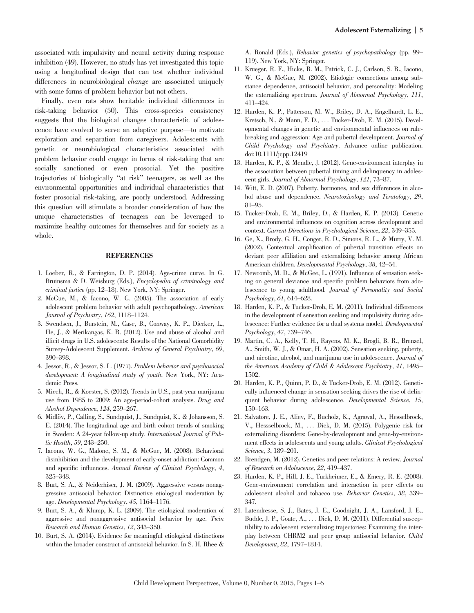associated with impulsivity and neural activity during response inhibition (49). However, no study has yet investigated this topic using a longitudinal design that can test whether individual differences in neurobiological *change* are associated uniquely with some forms of problem behavior but not others.

Finally, even rats show heritable individual differences in risk-taking behavior (50). This cross-species consistency suggests that the biological changes characteristic of adolescence have evolved to serve an adaptive purpose—to motivate exploration and separation from caregivers. Adolescents with genetic or neurobiological characteristics associated with problem behavior could engage in forms of risk-taking that are socially sanctioned or even prosocial. Yet the positive trajectories of biologically "at risk" teenagers, as well as the environmental opportunities and individual characteristics that foster prosocial risk-taking, are poorly understood. Addressing this question will stimulate a broader consideration of how the unique characteristics of teenagers can be leveraged to maximize healthy outcomes for themselves and for society as a whole.

#### **REFERENCES**

- 1. Loeber, R., & Farrington, D. P. (2014). Age-crime curve. In G. Bruinsma & D. Weisburg (Eds.), Encyclopedia of criminology and criminal justice (pp. 12–18). New York, NY: Springer.
- 2. McGue, M., & Iacono, W. G. (2005). The association of early adolescent problem behavior with adult psychopathology. American Journal of Psychiatry, 162, 1118–1124.
- 3. Swendsen, J., Burstein, M., Case, B., Conway, K. P., Dierker, L., He, J., & Merikangas, K. R. (2012). Use and abuse of alcohol and illicit drugs in U.S. adolescents: Results of the National Comorbidity Survey-Adolescent Supplement. Archives of General Psychiatry, 69, 390–398.
- 4. Jessor, R., & Jessor, S. L. (1977). Problem behavior and psychosocial development: A longitudinal study of youth. New York, NY: Academic Press.
- 5. Miech, R., & Koester, S. (2012). Trends in U.S., past-year marijuana use from 1985 to 2009: An age-period-cohort analysis. Drug and Alcohol Dependence, 124, 259–267.
- 6. Midlöv, P., Calling, S., Sundquist, J., Sundquist, K., & Johansson, S. E. (2014). The longitudinal age and birth cohort trends of smoking in Sweden: A 24-year follow-up study. International Journal of Public Health, 59, 243–250.
- 7. Iacono, W. G., Malone, S. M., & McGue, M. (2008). Behavioral disinhibition and the development of early-onset addiction: Common and specific influences. Annual Review of Clinical Psychology, 4, 325–348.
- 8. Burt, S. A., & Neiderhiser, J. M. (2009). Aggressive versus nonaggressive antisocial behavior: Distinctive etiological moderation by age. Developmental Psychology, 45, 1164–1176.
- 9. Burt, S. A., & Klump, K. L. (2009). The etiological moderation of aggressive and nonaggressive antisocial behavior by age. Twin Research and Human Genetics, 12, 343–350.
- 10. Burt, S. A. (2014). Evidence for meaningful etiological distinctions within the broader construct of antisocial behavior. In S. H. Rhee &

A. Ronald (Eds.), Behavior genetics of psychopathology (pp. 99– 119). New York, NY: Springer.

- 11. Krueger, R. F., Hicks, B. M., Patrick, C. J., Carlson, S. R., Iacono, W. G., & McGue, M. (2002). Etiologic connections among substance dependence, antisocial behavior, and personality: Modeling the externalizing spectrum. Journal of Abnormal Psychology, 111, 411–424.
- 12. Harden, K. P., Patterson, M. W., Briley, D. A., Engelhardt, L. E., Kretsch, N., & Mann, F. D., ... Tucker-Drob, E. M. (2015). Developmental changes in genetic and environmental influences on rulebreaking and aggression: Age and pubertal development. Journal of Child Psychology and Psychiatry. Advance online publication. doi[:10.1111/jcpp.12419](http://dx.doi.org/10.1111/jcpp.12419)
- 13. Harden, K. P., & Mendle, J. (2012). Gene-environment interplay in the association between pubertal timing and delinquency in adolescent girls. Journal of Abnormal Psychology, 121, 73–87.
- 14. Witt, E. D. (2007). Puberty, hormones, and sex differences in alcohol abuse and dependence. Neurotoxicology and Teratology, 29, 81–95.
- 15. Tucker-Drob, E. M., Briley, D., & Harden, K. P. (2013). Genetic and environmental influences on cognition across development and context. Current Directions in Psychological Science, 22, 349–355.
- 16. Ge, X., Brody, G. H., Conger, R. D., Simons, R. L., & Murry, V. M. (2002). Contextual amplification of pubertal transition effects on deviant peer affiliation and externalizing behavior among African American children. Developmental Psychology, 38, 42–54.
- 17. Newcomb, M. D., & McGee, L. (1991). Influence of sensation seeking on general deviance and specific problem behaviors from adolescence to young adulthood. Journal of Personality and Social Psychology, 61, 614–628.
- 18. Harden, K. P., & Tucker-Drob, E. M. (2011). Individual differences in the development of sensation seeking and impulsivity during adolescence: Further evidence for a dual systems model. Developmental Psychology, 47, 739–746.
- 19. Martin, C. A., Kelly, T. H., Rayens, M. K., Brogli, B. R., Brenzel, A., Smith, W. J., & Omar, H. A. (2002). Sensation seeking, puberty, and nicotine, alcohol, and marijuana use in adolescence. Journal of the American Academy of Child & Adolescent Psychiatry, 41, 1495– 1502.
- 20. Harden, K. P., Quinn, P. D., & Tucker-Drob, E. M. (2012). Genetically influenced change in sensation seeking drives the rise of delinquent behavior during adolescence. Developmental Science, 15, 150–163.
- 21. Salvatore, J. E., Aliev, F., Bucholz, K., Agrawal, A., Hesselbrock, V., Hessselbrock, M., ... Dick, D. M. (2015). Polygenic risk for externalizing disorders: Gene-by-development and gene-by-environment effects in adolescents and young adults. Clinical Psychological Science, 3, 189–201.
- 22. Brendgen, M. (2012). Genetics and peer relations: A review. Journal of Research on Adolescence, 22, 419–437.
- 23. Harden, K. P., Hill, J. E., Turkheimer, E., & Emery, R. E. (2008). Gene-environment correlation and interaction in peer effects on adolescent alcohol and tobacco use. Behavior Genetics, 38, 339– 347.
- 24. Latendresse, S. J., Bates, J. E., Goodnight, J. A., Lansford, J. E., Budde, J. P., Goate, A., ... Dick, D. M. (2011). Differential susceptibility to adolescent externalizing trajectories: Examining the interplay between CHRM2 and peer group antisocial behavior. Child Development, 82, 1797–1814.